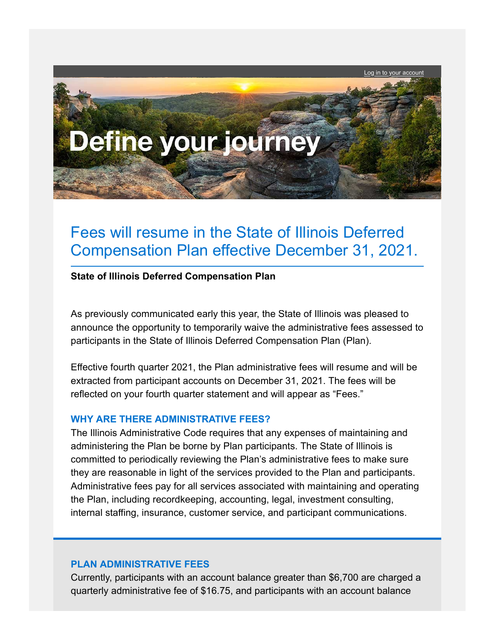Log in to your account



# Fees will resume in the State of Illinois Deferred Compensation Plan effective December 31, 2021.

### **State of Illinois Deferred Compensation Plan**

As previously communicated early this year, the State of Illinois was pleased to announce the opportunity to temporarily waive the administrative fees assessed to participants in the State of Illinois Deferred Compensation Plan (Plan).

Effective fourth quarter 2021, the Plan administrative fees will resume and will be extracted from participant accounts on December 31, 2021. The fees will be reflected on your fourth quarter statement and will appear as "Fees."

## **WHY ARE THERE ADMINISTRATIVE FEES?**

The Illinois Administrative Code requires that any expenses of maintaining and administering the Plan be borne by Plan participants. The State of Illinois is committed to periodically reviewing the Plan's administrative fees to make sure they are reasonable in light of the services provided to the Plan and participants. Administrative fees pay for all services associated with maintaining and operating the Plan, including recordkeeping, accounting, legal, investment consulting, internal staffing, insurance, customer service, and participant communications.

# **PLAN ADMINISTRATIVE FEES**

Currently, participants with an account balance greater than \$6,700 are charged a quarterly administrative fee of \$16.75, and participants with an account balance